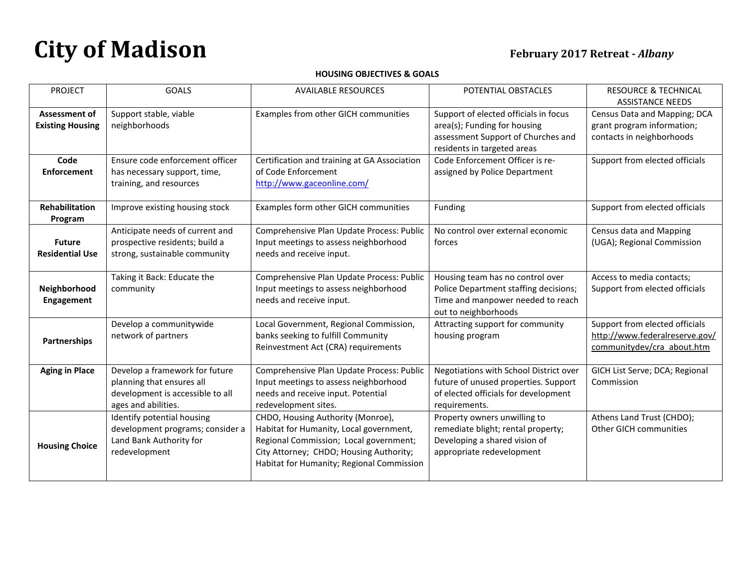## **HOUSING OBJECTIVES & GOALS**

| <b>PROJECT</b>                           | <b>GOALS</b>                                                                                                           | <b>AVAILABLE RESOURCES</b>                                                                                                                                                                                     | POTENTIAL OBSTACLES                                                                                                                        | <b>RESOURCE &amp; TECHNICAL</b><br><b>ASSISTANCE NEEDS</b>                                     |
|------------------------------------------|------------------------------------------------------------------------------------------------------------------------|----------------------------------------------------------------------------------------------------------------------------------------------------------------------------------------------------------------|--------------------------------------------------------------------------------------------------------------------------------------------|------------------------------------------------------------------------------------------------|
| Assessment of<br><b>Existing Housing</b> | Support stable, viable<br>neighborhoods                                                                                | Examples from other GICH communities                                                                                                                                                                           | Support of elected officials in focus<br>area(s); Funding for housing<br>assessment Support of Churches and<br>residents in targeted areas | Census Data and Mapping; DCA<br>grant program information;<br>contacts in neighborhoods        |
| Code<br><b>Enforcement</b>               | Ensure code enforcement officer<br>has necessary support, time,<br>training, and resources                             | Certification and training at GA Association<br>of Code Enforcement<br>http://www.gaceonline.com/                                                                                                              | Code Enforcement Officer is re-<br>assigned by Police Department                                                                           | Support from elected officials                                                                 |
| Rehabilitation<br>Program                | Improve existing housing stock                                                                                         | Examples form other GICH communities                                                                                                                                                                           | Funding                                                                                                                                    | Support from elected officials                                                                 |
| <b>Future</b><br><b>Residential Use</b>  | Anticipate needs of current and<br>prospective residents; build a<br>strong, sustainable community                     | Comprehensive Plan Update Process: Public<br>Input meetings to assess neighborhood<br>needs and receive input.                                                                                                 | No control over external economic<br>forces                                                                                                | Census data and Mapping<br>(UGA); Regional Commission                                          |
| Neighborhood<br>Engagement               | Taking it Back: Educate the<br>community                                                                               | Comprehensive Plan Update Process: Public<br>Input meetings to assess neighborhood<br>needs and receive input.                                                                                                 | Housing team has no control over<br>Police Department staffing decisions;<br>Time and manpower needed to reach<br>out to neighborhoods     | Access to media contacts;<br>Support from elected officials                                    |
| <b>Partnerships</b>                      | Develop a communitywide<br>network of partners                                                                         | Local Government, Regional Commission,<br>banks seeking to fulfill Community<br>Reinvestment Act (CRA) requirements                                                                                            | Attracting support for community<br>housing program                                                                                        | Support from elected officials<br>http://www.federalreserve.gov/<br>communitydev/cra_about.htm |
| <b>Aging in Place</b>                    | Develop a framework for future<br>planning that ensures all<br>development is accessible to all<br>ages and abilities. | Comprehensive Plan Update Process: Public<br>Input meetings to assess neighborhood<br>needs and receive input. Potential<br>redevelopment sites.                                                               | Negotiations with School District over<br>future of unused properties. Support<br>of elected officials for development<br>requirements.    | GICH List Serve; DCA; Regional<br>Commission                                                   |
| <b>Housing Choice</b>                    | Identify potential housing<br>development programs; consider a<br>Land Bank Authority for<br>redevelopment             | CHDO, Housing Authority (Monroe),<br>Habitat for Humanity, Local government,<br>Regional Commission; Local government;<br>City Attorney; CHDO; Housing Authority;<br>Habitat for Humanity; Regional Commission | Property owners unwilling to<br>remediate blight; rental property;<br>Developing a shared vision of<br>appropriate redevelopment           | Athens Land Trust (CHDO);<br>Other GICH communities                                            |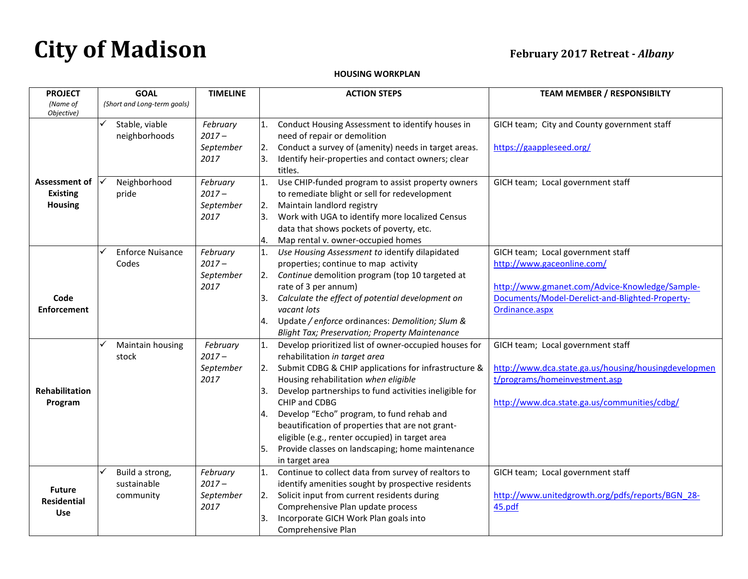## **HOUSING WORKPLAN**

| <b>PROJECT</b>                                     | <b>GOAL</b>                                      | <b>TIMELINE</b>                           | <b>ACTION STEPS</b>                                                                                                                                                                                                                                                                                                                                                                                                                                                                                                 | <b>TEAM MEMBER / RESPONSIBILTY</b>                                                                                                                                                     |
|----------------------------------------------------|--------------------------------------------------|-------------------------------------------|---------------------------------------------------------------------------------------------------------------------------------------------------------------------------------------------------------------------------------------------------------------------------------------------------------------------------------------------------------------------------------------------------------------------------------------------------------------------------------------------------------------------|----------------------------------------------------------------------------------------------------------------------------------------------------------------------------------------|
| (Name of<br>Objective)                             | (Short and Long-term goals)                      |                                           |                                                                                                                                                                                                                                                                                                                                                                                                                                                                                                                     |                                                                                                                                                                                        |
|                                                    | Stable, viable<br>✓<br>neighborhoods             | February<br>$2017 -$<br>September<br>2017 | 1.<br>Conduct Housing Assessment to identify houses in<br>need of repair or demolition<br>Conduct a survey of (amenity) needs in target areas.<br>2.<br>Identify heir-properties and contact owners; clear<br>titles.                                                                                                                                                                                                                                                                                               | GICH team; City and County government staff<br>https://gaappleseed.org/                                                                                                                |
| Assessment of<br><b>Existing</b><br><b>Housing</b> | Neighborhood<br>pride                            | February<br>$2017 -$<br>September<br>2017 | Use CHIP-funded program to assist property owners<br>1.<br>to remediate blight or sell for redevelopment<br>Maintain landlord registry<br>2.<br>Work with UGA to identify more localized Census<br>3.<br>data that shows pockets of poverty, etc.<br>4.<br>Map rental v. owner-occupied homes                                                                                                                                                                                                                       | GICH team; Local government staff                                                                                                                                                      |
| Code<br><b>Enforcement</b>                         | <b>Enforce Nuisance</b><br>Codes                 | February<br>$2017 -$<br>September<br>2017 | Use Housing Assessment to identify dilapidated<br>1.<br>properties; continue to map activity<br>Continue demolition program (top 10 targeted at<br>2.<br>rate of 3 per annum)<br>Calculate the effect of potential development on<br>3.<br>vacant lots<br>Update / enforce ordinances: Demolition; Slum &<br>4.<br><b>Blight Tax; Preservation; Property Maintenance</b>                                                                                                                                            | GICH team; Local government staff<br>http://www.gaceonline.com/<br>http://www.gmanet.com/Advice-Knowledge/Sample-<br>Documents/Model-Derelict-and-Blighted-Property-<br>Ordinance.aspx |
| Rehabilitation<br>Program                          | ✓<br>Maintain housing<br>stock                   | February<br>$2017 -$<br>September<br>2017 | Develop prioritized list of owner-occupied houses for<br>1.<br>rehabilitation in target area<br>Submit CDBG & CHIP applications for infrastructure &<br>2.<br>Housing rehabilitation when eligible<br>Develop partnerships to fund activities ineligible for<br>3.<br>CHIP and CDBG<br>Develop "Echo" program, to fund rehab and<br>4.<br>beautification of properties that are not grant-<br>eligible (e.g., renter occupied) in target area<br>Provide classes on landscaping; home maintenance<br>in target area | GICH team; Local government staff<br>http://www.dca.state.ga.us/housing/housingdevelopmen<br>t/programs/homeinvestment.asp<br>http://www.dca.state.ga.us/communities/cdbg/             |
| <b>Future</b><br><b>Residential</b><br><b>Use</b>  | ✓<br>Build a strong,<br>sustainable<br>community | February<br>$2017 -$<br>September<br>2017 | Continue to collect data from survey of realtors to<br>1.<br>identify amenities sought by prospective residents<br>Solicit input from current residents during<br>2.<br>Comprehensive Plan update process<br>Incorporate GICH Work Plan goals into<br>3.<br>Comprehensive Plan                                                                                                                                                                                                                                      | GICH team; Local government staff<br>http://www.unitedgrowth.org/pdfs/reports/BGN 28-<br>45.pdf                                                                                        |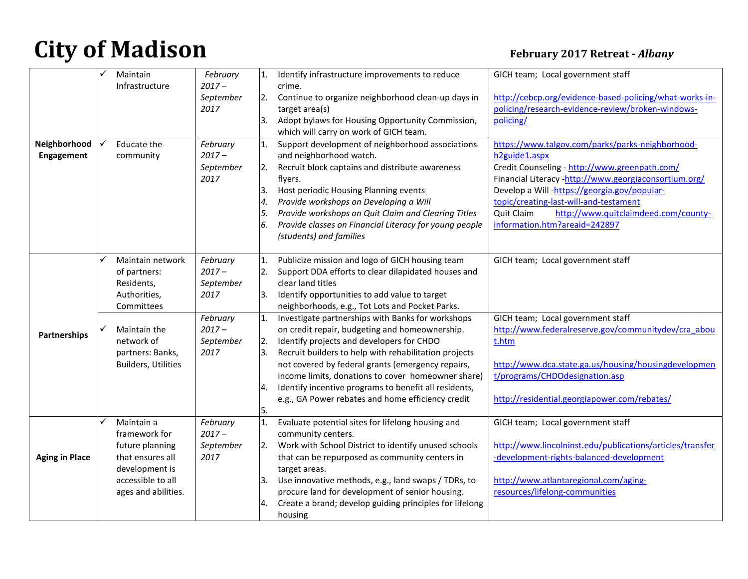|                       |   | Maintain                   | February  | 1.  | Identify infrastructure improvements to reduce          | GICH team; Local government staff                         |
|-----------------------|---|----------------------------|-----------|-----|---------------------------------------------------------|-----------------------------------------------------------|
|                       |   | Infrastructure             | $2017 -$  |     | crime.                                                  |                                                           |
|                       |   |                            | September | 2.  | Continue to organize neighborhood clean-up days in      | http://cebcp.org/evidence-based-policing/what-works-in-   |
|                       |   |                            | 2017      |     | target area(s)                                          | policing/research-evidence-review/broken-windows-         |
|                       |   |                            |           | 3.  | Adopt bylaws for Housing Opportunity Commission,        | policing/                                                 |
|                       |   |                            |           |     | which will carry on work of GICH team.                  |                                                           |
| Neighborhood          |   | Educate the                | February  | 1.  | Support development of neighborhood associations        | https://www.talgov.com/parks/parks-neighborhood-          |
| Engagement            |   | community                  | $2017 -$  |     | and neighborhood watch.                                 | h <sub>2</sub> guide <sub>1.aspx</sub>                    |
|                       |   |                            | September | 12. | Recruit block captains and distribute awareness         | Credit Counseling - http://www.greenpath.com/             |
|                       |   |                            | 2017      |     | flyers.                                                 | Financial Literacy -http://www.georgiaconsortium.org/     |
|                       |   |                            |           | 3.  | Host periodic Housing Planning events                   | Develop a Will-https://georgia.gov/popular-               |
|                       |   |                            |           | 4.  | Provide workshops on Developing a Will                  | topic/creating-last-will-and-testament                    |
|                       |   |                            |           | 5.  | Provide workshops on Quit Claim and Clearing Titles     | Quit Claim<br>http://www.quitclaimdeed.com/county-        |
|                       |   |                            |           |     | Provide classes on Financial Literacy for young people  | information.htm?areaid=242897                             |
|                       |   |                            |           |     | (students) and families                                 |                                                           |
|                       |   |                            |           |     |                                                         |                                                           |
|                       | ✓ | Maintain network           | February  | 1.  | Publicize mission and logo of GICH housing team         | GICH team; Local government staff                         |
|                       |   | of partners:               | $2017 -$  |     | Support DDA efforts to clear dilapidated houses and     |                                                           |
|                       |   | Residents,                 | September |     | clear land titles                                       |                                                           |
|                       |   | Authorities,               | 2017      | 3.  | Identify opportunities to add value to target           |                                                           |
|                       |   | Committees                 |           |     | neighborhoods, e.g., Tot Lots and Pocket Parks.         |                                                           |
|                       |   |                            | February  | 1.  | Investigate partnerships with Banks for workshops       | GICH team; Local government staff                         |
| Partnerships          | ✓ | Maintain the               | $2017 -$  |     | on credit repair, budgeting and homeownership.          | http://www.federalreserve.gov/communitydev/cra abou       |
|                       |   | network of                 | September | 2.  | Identify projects and developers for CHDO               | t.htm                                                     |
|                       |   | partners: Banks,           | 2017      | Β.  | Recruit builders to help with rehabilitation projects   |                                                           |
|                       |   | <b>Builders, Utilities</b> |           |     | not covered by federal grants (emergency repairs,       | http://www.dca.state.ga.us/housing/housingdevelopmen      |
|                       |   |                            |           |     | income limits, donations to cover homeowner share)      | t/programs/CHDOdesignation.asp                            |
|                       |   |                            |           | 4.  | Identify incentive programs to benefit all residents,   |                                                           |
|                       |   |                            |           |     | e.g., GA Power rebates and home efficiency credit       | http://residential.georgiapower.com/rebates/              |
|                       |   |                            |           | 5.  |                                                         |                                                           |
|                       |   | Maintain a                 | February  | 1.  | Evaluate potential sites for lifelong housing and       | GICH team; Local government staff                         |
|                       |   | framework for              | $2017 -$  |     | community centers.                                      |                                                           |
|                       |   | future planning            | September | I2. | Work with School District to identify unused schools    | http://www.lincolninst.edu/publications/articles/transfer |
| <b>Aging in Place</b> |   | that ensures all           | 2017      |     | that can be repurposed as community centers in          | -development-rights-balanced-development                  |
|                       |   | development is             |           |     | target areas.                                           |                                                           |
|                       |   | accessible to all          |           | Β.  | Use innovative methods, e.g., land swaps / TDRs, to     | http://www.atlantaregional.com/aging-                     |
|                       |   | ages and abilities.        |           |     | procure land for development of senior housing.         | resources/lifelong-communities                            |
|                       |   |                            |           |     | Create a brand; develop guiding principles for lifelong |                                                           |
|                       |   |                            |           |     | housing                                                 |                                                           |